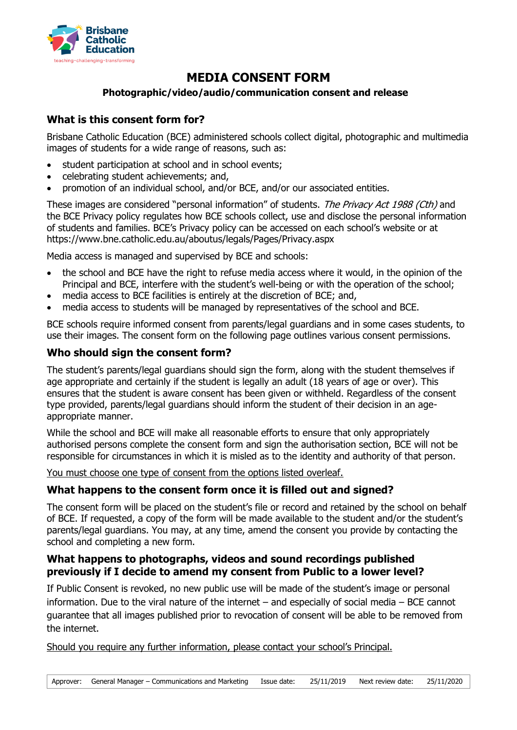

# **MEDIA CONSENT FORM**

#### **Photographic/video/audio/communication consent and release**

## **What is this consent form for?**

Brisbane Catholic Education (BCE) administered schools collect digital, photographic and multimedia images of students for a wide range of reasons, such as:

- student participation at school and in school events;
- celebrating student achievements; and,
- promotion of an individual school, and/or BCE, and/or our associated entities.

These images are considered "personal information" of students. The Privacy Act 1988 (Cth) and the BCE Privacy policy regulates how BCE schools collect, use and disclose the personal information of students and families. BCE's Privacy policy can be accessed on each school's website or at https://www.bne.catholic.edu.au/aboutus/legals/Pages/Privacy.aspx

Media access is managed and supervised by BCE and schools:

- the school and BCE have the right to refuse media access where it would, in the opinion of the Principal and BCE, interfere with the student's well-being or with the operation of the school;
- media access to BCE facilities is entirely at the discretion of BCE; and,
- media access to students will be managed by representatives of the school and BCE.

BCE schools require informed consent from parents/legal guardians and in some cases students, to use their images. The consent form on the following page outlines various consent permissions.

### **Who should sign the consent form?**

The student's parents/legal guardians should sign the form, along with the student themselves if age appropriate and certainly if the student is legally an adult (18 years of age or over). This ensures that the student is aware consent has been given or withheld. Regardless of the consent type provided, parents/legal guardians should inform the student of their decision in an ageappropriate manner.

While the school and BCE will make all reasonable efforts to ensure that only appropriately authorised persons complete the consent form and sign the authorisation section, BCE will not be responsible for circumstances in which it is misled as to the identity and authority of that person.

You must choose one type of consent from the options listed overleaf.

# **What happens to the consent form once it is filled out and signed?**

The consent form will be placed on the student's file or record and retained by the school on behalf of BCE. If requested, a copy of the form will be made available to the student and/or the student's parents/legal guardians. You may, at any time, amend the consent you provide by contacting the school and completing a new form.

#### **What happens to photographs, videos and sound recordings published previously if I decide to amend my consent from Public to a lower level?**

If Public Consent is revoked, no new public use will be made of the student's image or personal information. Due to the viral nature of the internet – and especially of social media – BCE cannot guarantee that all images published prior to revocation of consent will be able to be removed from the internet.

Should you require any further information, please contact your school's Principal.